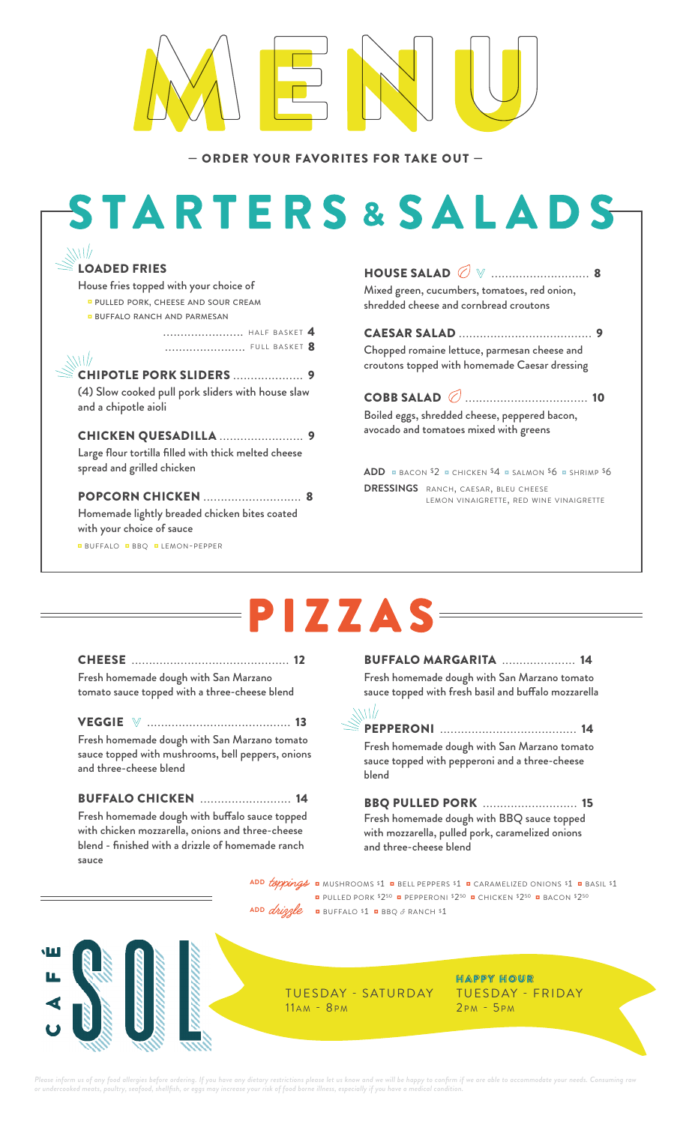— ORDER YOUR FAVORITES FOR TAKE OUT —

# **STARTERS&SALADS**



will

............................ HALF BASKET 4 ....................... f u l l b a s k e t 8

CHIPOTLE PORK SLIDERS .................... 9 (4) Slow cooked pull pork sliders with house slaw and a chipotle aioli

CHICKEN QUESADILLA ........................ 9 Large flour tortilla filled with thick melted cheese spread and grilled chicken

POPCORN CHICKEN ............................ 8 Homemade lightly breaded chicken bites coated with your choice of sauce

◘ buffalo ◘ bbq ◘ lemon-pepper

HOUSE SALAD **V** ............................. 8 Mixed green, cucumbers, tomatoes, red onion, shredded cheese and cornbread croutons

CAESAR SALAD ...................................... 9 Chopped romaine lettuce, parmesan cheese and croutons topped with homemade Caesar dressing

COBB SALAD ......................................... 10 Boiled eggs, shredded cheese, peppered bacon, avocado and tomatoes mixed with greens

**ADD** ◘ bacon \$2 ◘ chicken \$4 ◘ salmon \$6 ◘ shrimp \$6 **DRESSINGS** RANCH, CAESAR, BLEU CHEESE lemon vinaigrette, red wine vinaigrette

## PIZZAS

CHEESE ............................................. 12 Fresh homemade dough with San Marzano tomato sauce topped with a three-cheese blend

VEGGIE **V** .......................................... 13 Fresh homemade dough with San Marzano tomato sauce topped with mushrooms, bell peppers, onions and three-cheese blend

BUFFALO CHICKEN .......................... 14 Fresh homemade dough with buffalo sauce topped with chicken mozzarella, onions and three-cheese blend - finished with a drizzle of homemade ranch sauce

BUFFALO MARGARITA ..................... 14 Fresh homemade dough with San Marzano tomato sauce topped with fresh basil and buffalo mozzarella



PEPPERONI ....................................... 14 Fresh homemade dough with San Marzano tomato sauce topped with pepperoni and a three-cheese blend

BBQ PULLED PORK ........................... 15 Fresh homemade dough with BBQ sauce topped with mozzarella, pulled pork, caramelized onions and three-cheese blend

ADD **toppings <b>¤** mushrooms \$1 **¤** bell peppers \$1 **¤** caramelized onions \$1 **¤** basil \$1 ◘ pulled pork \$250 ◘ pepperoni \$250 ◘ chicken \$250 ◘ bacon \$250  $ADD$  *drizzle* **¤** BUFFALO \$1 **¤** BBQ & RANCH \$1



TUESDAY - SATURDAY  $11AM - 8PM$ 

H A P P Y H O U R TUESDAY - FRIDAY  $2PM - 5PM$ 

Please inform us of any food allergies before ordering. If you have any dietary restrictions please let us know and we will be happy to confirm if we are able to acco ats, poultry, seafood, shellfish, or eggs may increase your risk of food borne illness, especially if you have a m